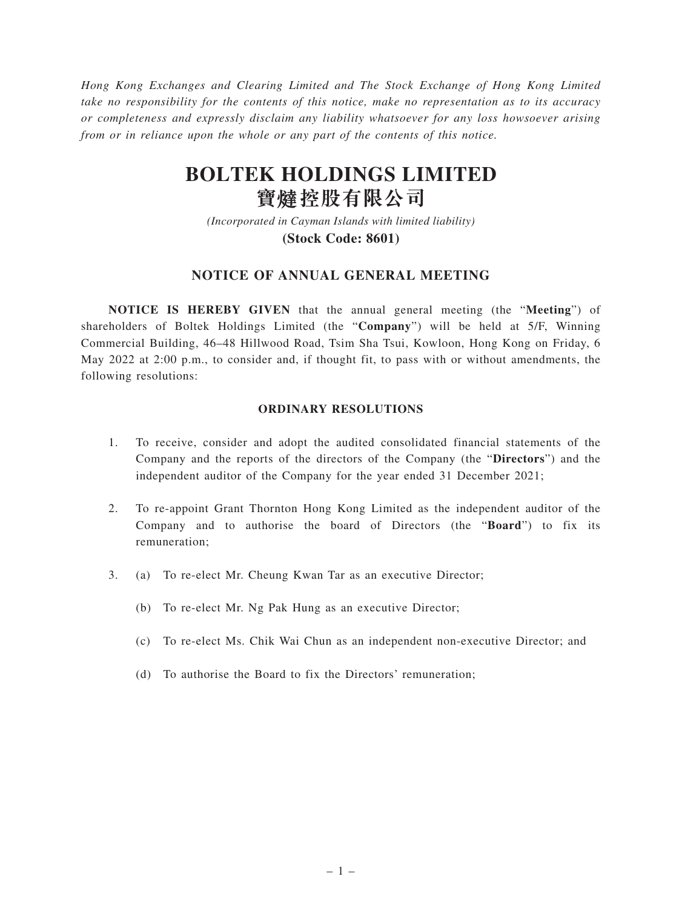*Hong Kong Exchanges and Clearing Limited and The Stock Exchange of Hong Kong Limited take no responsibility for the contents of this notice, make no representation as to its accuracy or completeness and expressly disclaim any liability whatsoever for any loss howsoever arising from or in reliance upon the whole or any part of the contents of this notice.*

# **BOLTEK HOLDINGS LIMITED 寶** 燵 股 有 限 公 司

*(Incorporated in Cayman Islands with limited liability)* **(Stock Code: 8601)**

# **NOTICE OF ANNUAL GENERAL MEETING**

**NOTICE IS HEREBY GIVEN** that the annual general meeting (the "**Meeting**") of shareholders of Boltek Holdings Limited (the "**Company**") will be held at 5/F, Winning Commercial Building, 46–48 Hillwood Road, Tsim Sha Tsui, Kowloon, Hong Kong on Friday, 6 May 2022 at 2:00 p.m., to consider and, if thought fit, to pass with or without amendments, the following resolutions:

#### **ORDINARY RESOLUTIONS**

- 1. To receive, consider and adopt the audited consolidated financial statements of the Company and the reports of the directors of the Company (the "**Directors**") and the independent auditor of the Company for the year ended 31 December 2021;
- 2. To re-appoint Grant Thornton Hong Kong Limited as the independent auditor of the Company and to authorise the board of Directors (the "**Board**") to fix its remuneration;
- 3. (a) To re-elect Mr. Cheung Kwan Tar as an executive Director;
	- (b) To re-elect Mr. Ng Pak Hung as an executive Director;
	- (c) To re-elect Ms. Chik Wai Chun as an independent non-executive Director; and
	- (d) To authorise the Board to fix the Directors' remuneration;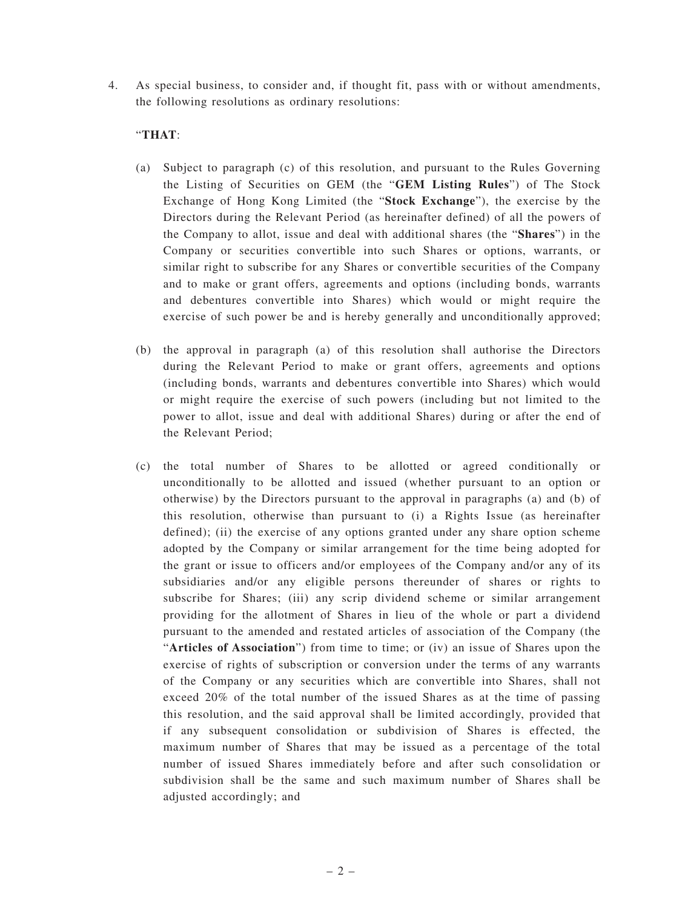4. As special business, to consider and, if thought fit, pass with or without amendments, the following resolutions as ordinary resolutions:

# "**THAT**:

- (a) Subject to paragraph (c) of this resolution, and pursuant to the Rules Governing the Listing of Securities on GEM (the "**GEM Listing Rules**") of The Stock Exchange of Hong Kong Limited (the "**Stock Exchange**"), the exercise by the Directors during the Relevant Period (as hereinafter defined) of all the powers of the Company to allot, issue and deal with additional shares (the "**Shares**") in the Company or securities convertible into such Shares or options, warrants, or similar right to subscribe for any Shares or convertible securities of the Company and to make or grant offers, agreements and options (including bonds, warrants and debentures convertible into Shares) which would or might require the exercise of such power be and is hereby generally and unconditionally approved;
- (b) the approval in paragraph (a) of this resolution shall authorise the Directors during the Relevant Period to make or grant offers, agreements and options (including bonds, warrants and debentures convertible into Shares) which would or might require the exercise of such powers (including but not limited to the power to allot, issue and deal with additional Shares) during or after the end of the Relevant Period;
- (c) the total number of Shares to be allotted or agreed conditionally or unconditionally to be allotted and issued (whether pursuant to an option or otherwise) by the Directors pursuant to the approval in paragraphs (a) and (b) of this resolution, otherwise than pursuant to (i) a Rights Issue (as hereinafter defined); (ii) the exercise of any options granted under any share option scheme adopted by the Company or similar arrangement for the time being adopted for the grant or issue to officers and/or employees of the Company and/or any of its subsidiaries and/or any eligible persons thereunder of shares or rights to subscribe for Shares; (iii) any scrip dividend scheme or similar arrangement providing for the allotment of Shares in lieu of the whole or part a dividend pursuant to the amended and restated articles of association of the Company (the "**Articles of Association**") from time to time; or (iv) an issue of Shares upon the exercise of rights of subscription or conversion under the terms of any warrants of the Company or any securities which are convertible into Shares, shall not exceed 20% of the total number of the issued Shares as at the time of passing this resolution, and the said approval shall be limited accordingly, provided that if any subsequent consolidation or subdivision of Shares is effected, the maximum number of Shares that may be issued as a percentage of the total number of issued Shares immediately before and after such consolidation or subdivision shall be the same and such maximum number of Shares shall be adjusted accordingly; and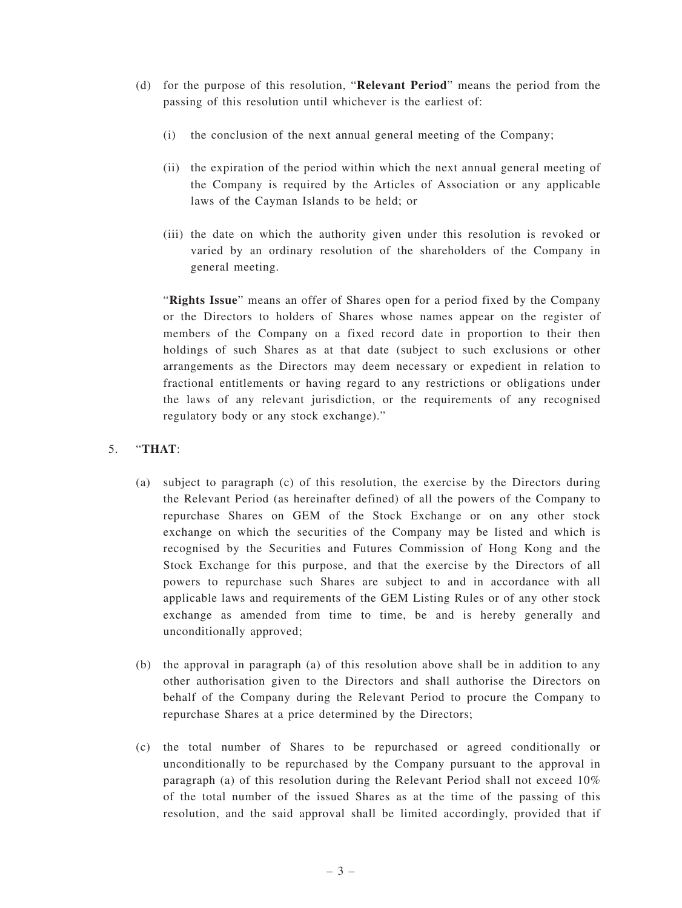- (d) for the purpose of this resolution, "**Relevant Period**" means the period from the passing of this resolution until whichever is the earliest of:
	- (i) the conclusion of the next annual general meeting of the Company;
	- (ii) the expiration of the period within which the next annual general meeting of the Company is required by the Articles of Association or any applicable laws of the Cayman Islands to be held; or
	- (iii) the date on which the authority given under this resolution is revoked or varied by an ordinary resolution of the shareholders of the Company in general meeting.

"**Rights Issue**" means an offer of Shares open for a period fixed by the Company or the Directors to holders of Shares whose names appear on the register of members of the Company on a fixed record date in proportion to their then holdings of such Shares as at that date (subject to such exclusions or other arrangements as the Directors may deem necessary or expedient in relation to fractional entitlements or having regard to any restrictions or obligations under the laws of any relevant jurisdiction, or the requirements of any recognised regulatory body or any stock exchange)."

### 5. "**THAT**:

- (a) subject to paragraph (c) of this resolution, the exercise by the Directors during the Relevant Period (as hereinafter defined) of all the powers of the Company to repurchase Shares on GEM of the Stock Exchange or on any other stock exchange on which the securities of the Company may be listed and which is recognised by the Securities and Futures Commission of Hong Kong and the Stock Exchange for this purpose, and that the exercise by the Directors of all powers to repurchase such Shares are subject to and in accordance with all applicable laws and requirements of the GEM Listing Rules or of any other stock exchange as amended from time to time, be and is hereby generally and unconditionally approved;
- (b) the approval in paragraph (a) of this resolution above shall be in addition to any other authorisation given to the Directors and shall authorise the Directors on behalf of the Company during the Relevant Period to procure the Company to repurchase Shares at a price determined by the Directors;
- (c) the total number of Shares to be repurchased or agreed conditionally or unconditionally to be repurchased by the Company pursuant to the approval in paragraph (a) of this resolution during the Relevant Period shall not exceed 10% of the total number of the issued Shares as at the time of the passing of this resolution, and the said approval shall be limited accordingly, provided that if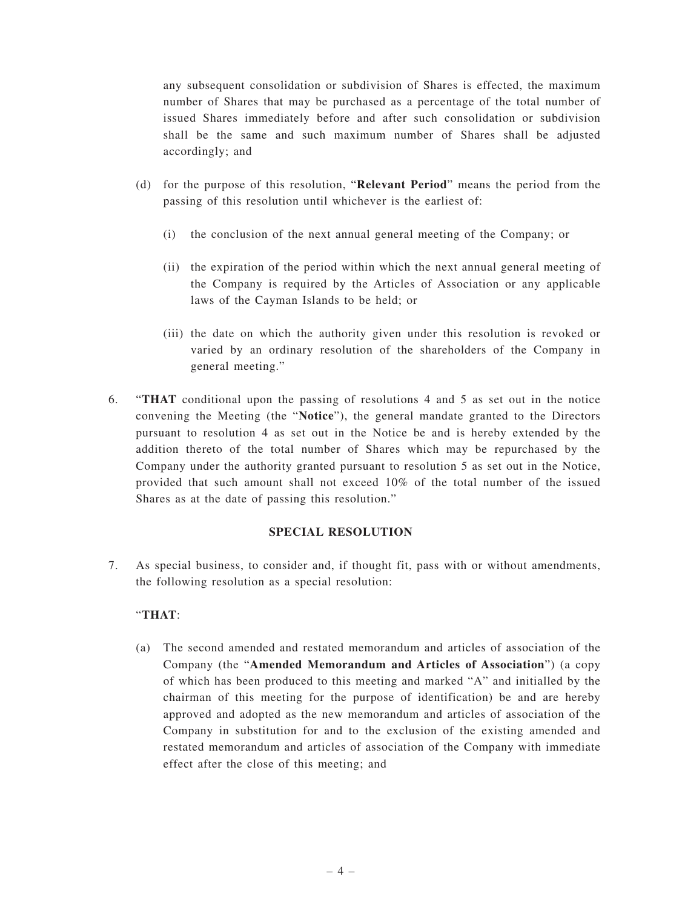any subsequent consolidation or subdivision of Shares is effected, the maximum number of Shares that may be purchased as a percentage of the total number of issued Shares immediately before and after such consolidation or subdivision shall be the same and such maximum number of Shares shall be adjusted accordingly; and

- (d) for the purpose of this resolution, "**Relevant Period**" means the period from the passing of this resolution until whichever is the earliest of:
	- (i) the conclusion of the next annual general meeting of the Company; or
	- (ii) the expiration of the period within which the next annual general meeting of the Company is required by the Articles of Association or any applicable laws of the Cayman Islands to be held; or
	- (iii) the date on which the authority given under this resolution is revoked or varied by an ordinary resolution of the shareholders of the Company in general meeting."
- 6. "**THAT** conditional upon the passing of resolutions 4 and 5 as set out in the notice convening the Meeting (the "**Notice**"), the general mandate granted to the Directors pursuant to resolution 4 as set out in the Notice be and is hereby extended by the addition thereto of the total number of Shares which may be repurchased by the Company under the authority granted pursuant to resolution 5 as set out in the Notice, provided that such amount shall not exceed 10% of the total number of the issued Shares as at the date of passing this resolution."

### **SPECIAL RESOLUTION**

7. As special business, to consider and, if thought fit, pass with or without amendments, the following resolution as a special resolution:

### "**THAT**:

(a) The second amended and restated memorandum and articles of association of the Company (the "**Amended Memorandum and Articles of Association**") (a copy of which has been produced to this meeting and marked "A" and initialled by the chairman of this meeting for the purpose of identification) be and are hereby approved and adopted as the new memorandum and articles of association of the Company in substitution for and to the exclusion of the existing amended and restated memorandum and articles of association of the Company with immediate effect after the close of this meeting; and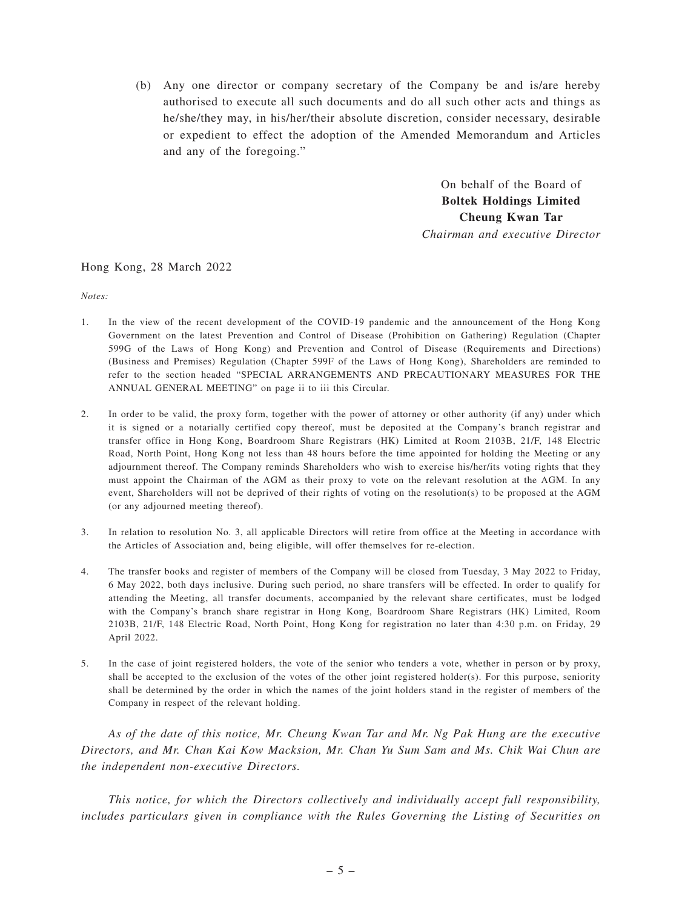(b) Any one director or company secretary of the Company be and is/are hereby authorised to execute all such documents and do all such other acts and things as he/she/they may, in his/her/their absolute discretion, consider necessary, desirable or expedient to effect the adoption of the Amended Memorandum and Articles and any of the foregoing."

> On behalf of the Board of **Boltek Holdings Limited Cheung Kwan Tar** *Chairman and executive Director*

#### Hong Kong, 28 March 2022

*Notes:*

- 1. In the view of the recent development of the COVID-19 pandemic and the announcement of the Hong Kong Government on the latest Prevention and Control of Disease (Prohibition on Gathering) Regulation (Chapter 599G of the Laws of Hong Kong) and Prevention and Control of Disease (Requirements and Directions) (Business and Premises) Regulation (Chapter 599F of the Laws of Hong Kong), Shareholders are reminded to refer to the section headed "SPECIAL ARRANGEMENTS AND PRECAUTIONARY MEASURES FOR THE ANNUAL GENERAL MEETING" on page ii to iii this Circular.
- 2. In order to be valid, the proxy form, together with the power of attorney or other authority (if any) under which it is signed or a notarially certified copy thereof, must be deposited at the Company's branch registrar and transfer office in Hong Kong, Boardroom Share Registrars (HK) Limited at Room 2103B, 21/F, 148 Electric Road, North Point, Hong Kong not less than 48 hours before the time appointed for holding the Meeting or any adjournment thereof. The Company reminds Shareholders who wish to exercise his/her/its voting rights that they must appoint the Chairman of the AGM as their proxy to vote on the relevant resolution at the AGM. In any event, Shareholders will not be deprived of their rights of voting on the resolution(s) to be proposed at the AGM (or any adjourned meeting thereof).
- 3. In relation to resolution No. 3, all applicable Directors will retire from office at the Meeting in accordance with the Articles of Association and, being eligible, will offer themselves for re-election.
- 4. The transfer books and register of members of the Company will be closed from Tuesday, 3 May 2022 to Friday, 6 May 2022, both days inclusive. During such period, no share transfers will be effected. In order to qualify for attending the Meeting, all transfer documents, accompanied by the relevant share certificates, must be lodged with the Company's branch share registrar in Hong Kong, Boardroom Share Registrars (HK) Limited, Room 2103B, 21/F, 148 Electric Road, North Point, Hong Kong for registration no later than 4:30 p.m. on Friday, 29 April 2022.
- 5. In the case of joint registered holders, the vote of the senior who tenders a vote, whether in person or by proxy, shall be accepted to the exclusion of the votes of the other joint registered holder(s). For this purpose, seniority shall be determined by the order in which the names of the joint holders stand in the register of members of the Company in respect of the relevant holding.

*As of the date of this notice, Mr. Cheung Kwan Tar and Mr. Ng Pak Hung are the executive Directors, and Mr. Chan Kai Kow Macksion, Mr. Chan Yu Sum Sam and Ms. Chik Wai Chun are the independent non-executive Directors.*

*This notice, for which the Directors collectively and individually accept full responsibility, includes particulars given in compliance with the Rules Governing the Listing of Securities on*